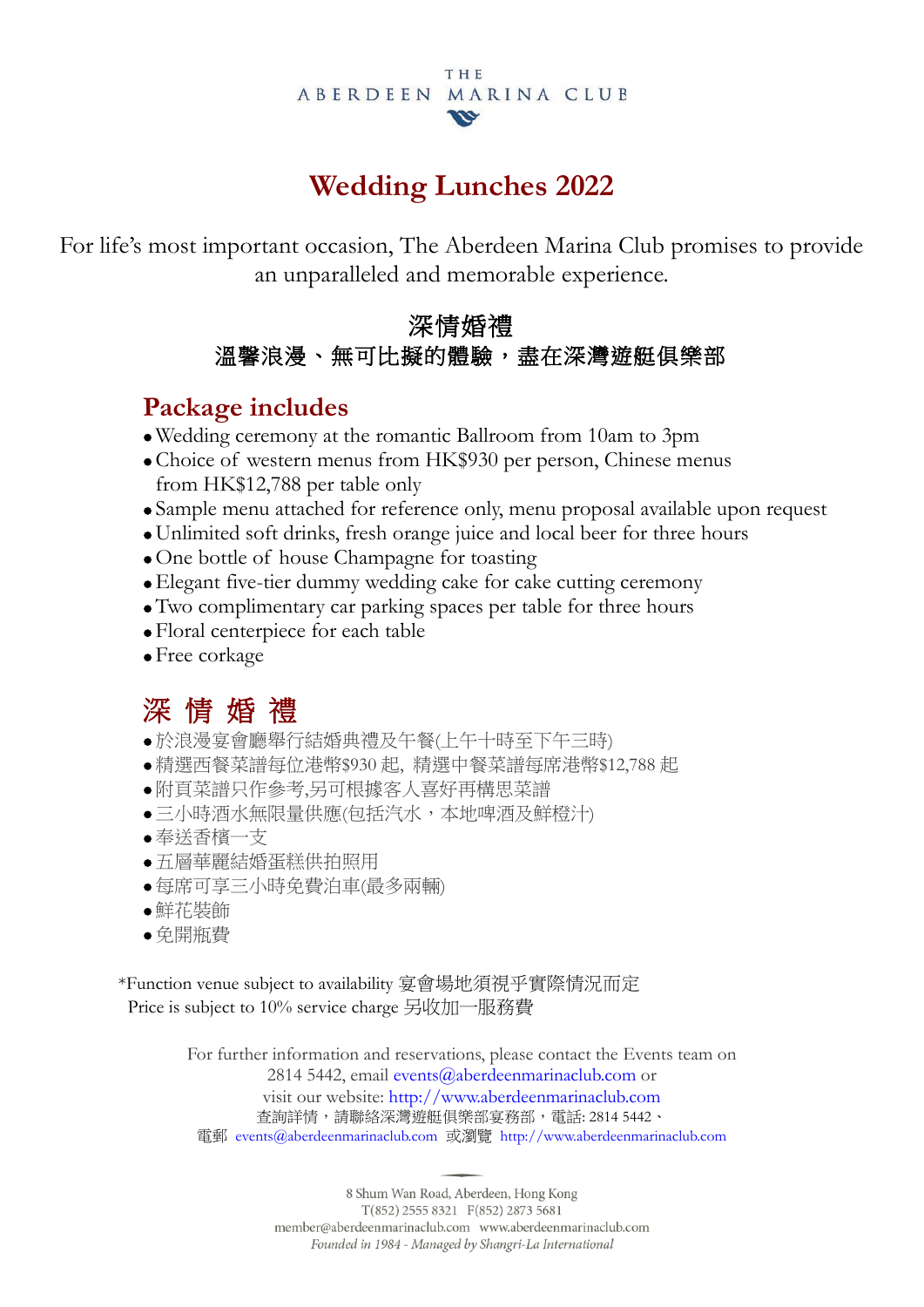#### **THE** ABERDEEN MARINA CLUB **VG**

## **Wedding Lunches 2022**

For life's most important occasion, The Aberdeen Marina Club promises to provide an unparalleled and memorable experience.

#### 深情婚禮 溫馨浪漫、無可比擬的體驗,盡在深灣遊艇俱樂部

#### **Package includes**

- Wedding ceremony at the romantic Ballroom from 10am to 3pm
- Choice of western menus from HK\$930 per person, Chinese menus from HK\$12,788 per table only
- Sample menu attached for reference only, menu proposal available upon request
- Unlimited soft drinks, fresh orange juice and local beer for three hours
- One bottle of house Champagne for toasting
- Elegant five-tier dummy wedding cake for cake cutting ceremony
- Two complimentary car parking spaces per table for three hours
- Floral centerpiece for each table
- Free corkage

## 深 情 婚 禮

- 於浪漫宴會廳舉行結婚典禮及午餐(上午十時至下午三時)
- 精選西餐菜譜每位港幣\$930 起, 精選中餐菜譜每席港幣\$12,788 起
- 附頁菜譜只作參考,另可根據客人喜好再構思菜譜
- 三小時酒水無限量供應(包括汽水,本地啤酒及鮮橙汁)
- 奉送香檳一支
- 五層華麗結婚蛋糕供拍照用
- 每席可享三小時免費泊車(最多兩輛)
- 鮮花裝飾
- 免開瓶費

\*Function venue subject to availability 宴會場地須視乎實際情況而定 Price is subject to 10% service charge 另收加一服務費

> For further information and reservations, please contact the Events team on 2814 5442, email [events@aberdeenmarinaclub.com](mailto:catering@aberdeenmarinaclub.com) or visit our website: [http://www.aberdeenmarinaclub.com](http://www.aberdeenmarinaclub.com/) 查詢詳情,請聯絡深灣遊艇俱樂部宴務部,電話: 2814 5442、 電郵 [events@aberdeenmarinaclub.com](mailto:events@aberdeenmarinaclub.com) 或瀏覽 [http://www.aberdeenmarinaclub.com](http://www.aberdeenmarinaclub.com/)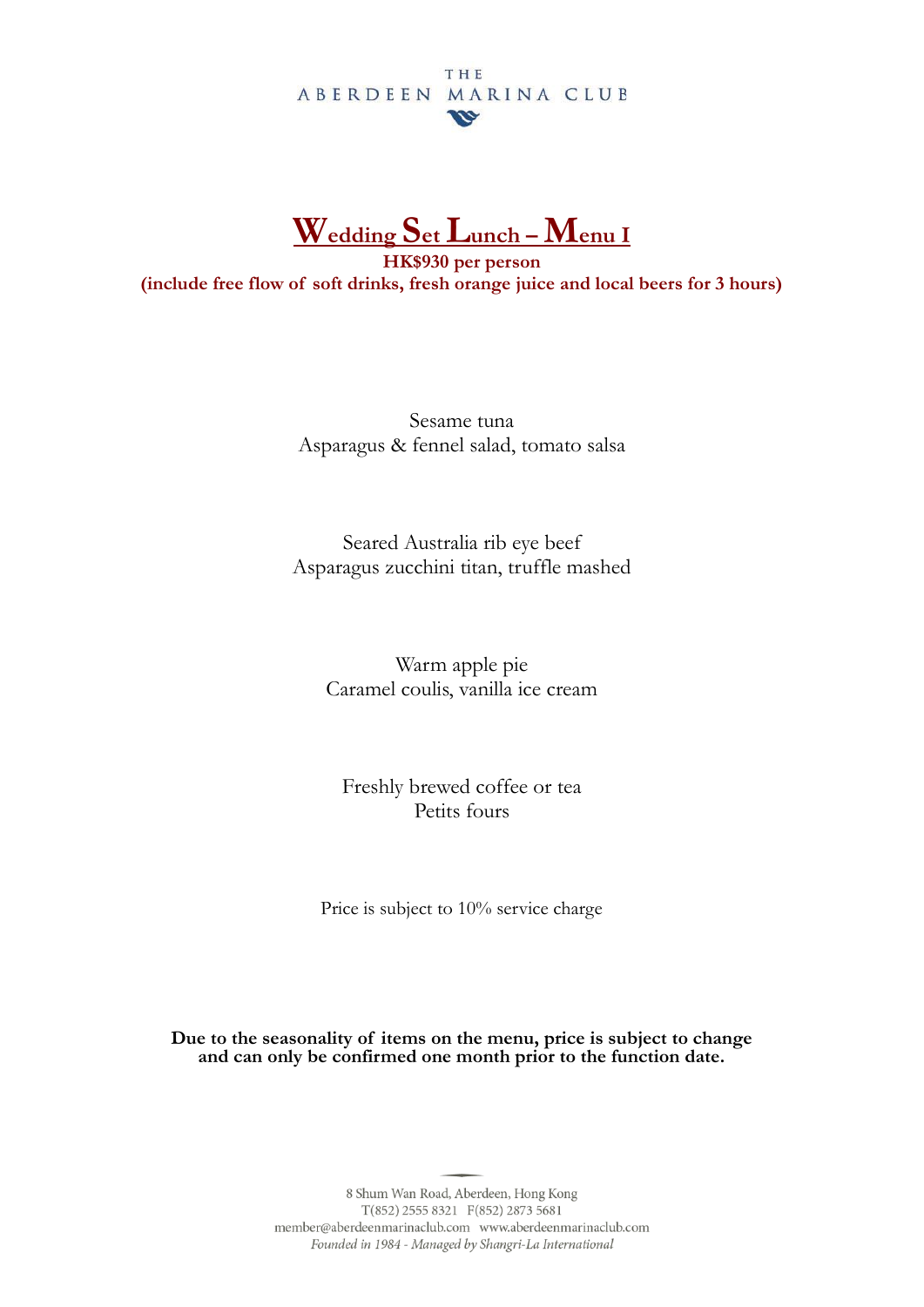#### THE ABERDEEN MARINA CLUB  $\boldsymbol{w}$



**HK\$930 per person (include free flow of soft drinks, fresh orange juice and local beers for 3 hours)**

> Sesame tuna Asparagus & fennel salad, tomato salsa

Seared Australia rib eye beef Asparagus zucchini titan, truffle mashed

Warm apple pie Caramel coulis, vanilla ice cream

Freshly brewed coffee or tea Petits fours

Price is subject to 10% service charge

**Due to the seasonality of items on the menu, price is subject to change and can only be confirmed one month prior to the function date.**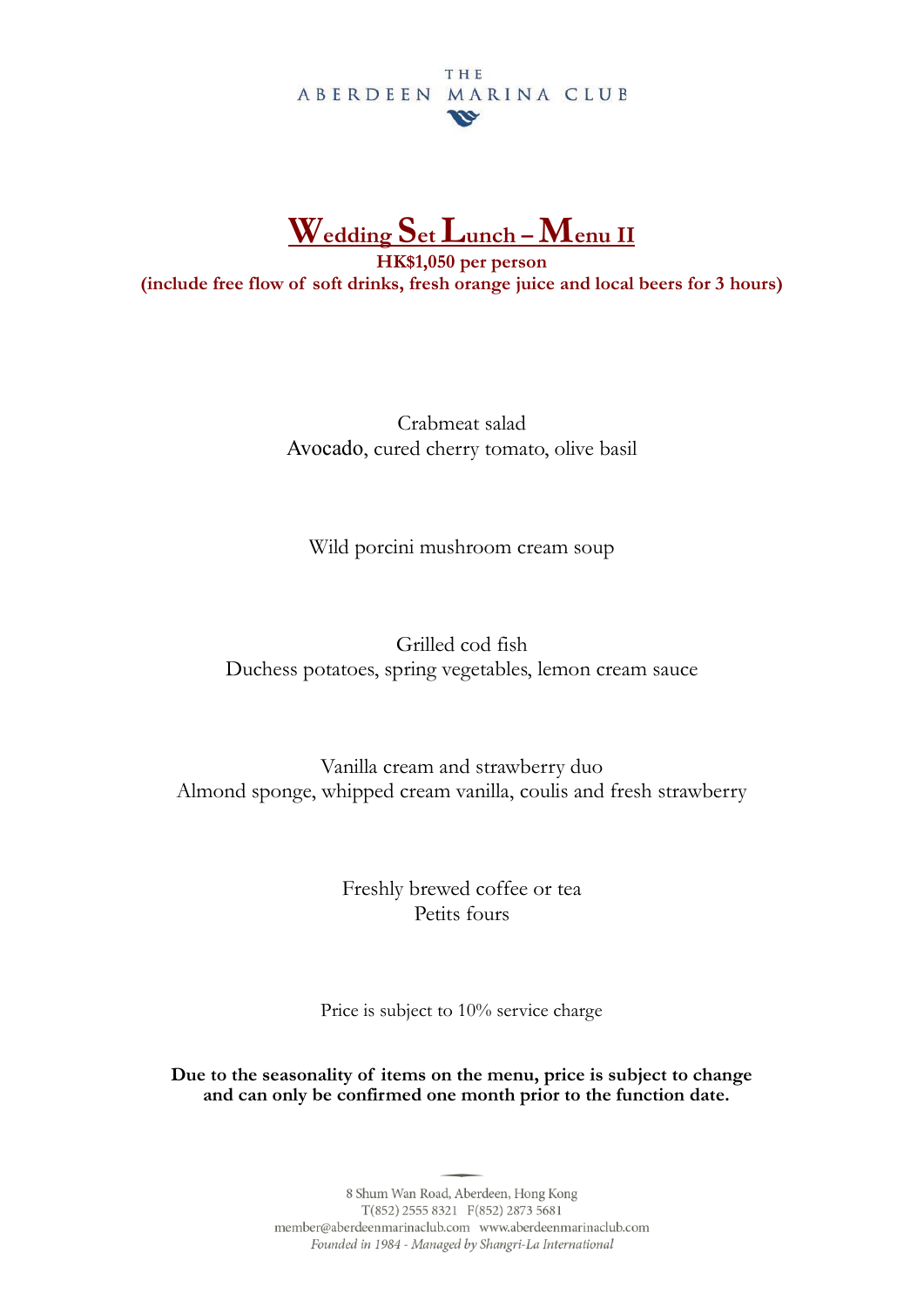#### THE ABERDEEN MARINA CLUB  $\boldsymbol{v}$



**HK\$1,050 per person (include free flow of soft drinks, fresh orange juice and local beers for 3 hours)**

> Crabmeat salad Avocado, cured cherry tomato, olive basil

Wild porcini mushroom cream soup

Grilled cod fish Duchess potatoes, spring vegetables, lemon cream sauce

Vanilla cream and strawberry duo Almond sponge, whipped cream vanilla, coulis and fresh strawberry

> Freshly brewed coffee or tea Petits fours

Price is subject to 10% service charge

**Due to the seasonality of items on the menu, price is subject to change and can only be confirmed one month prior to the function date.**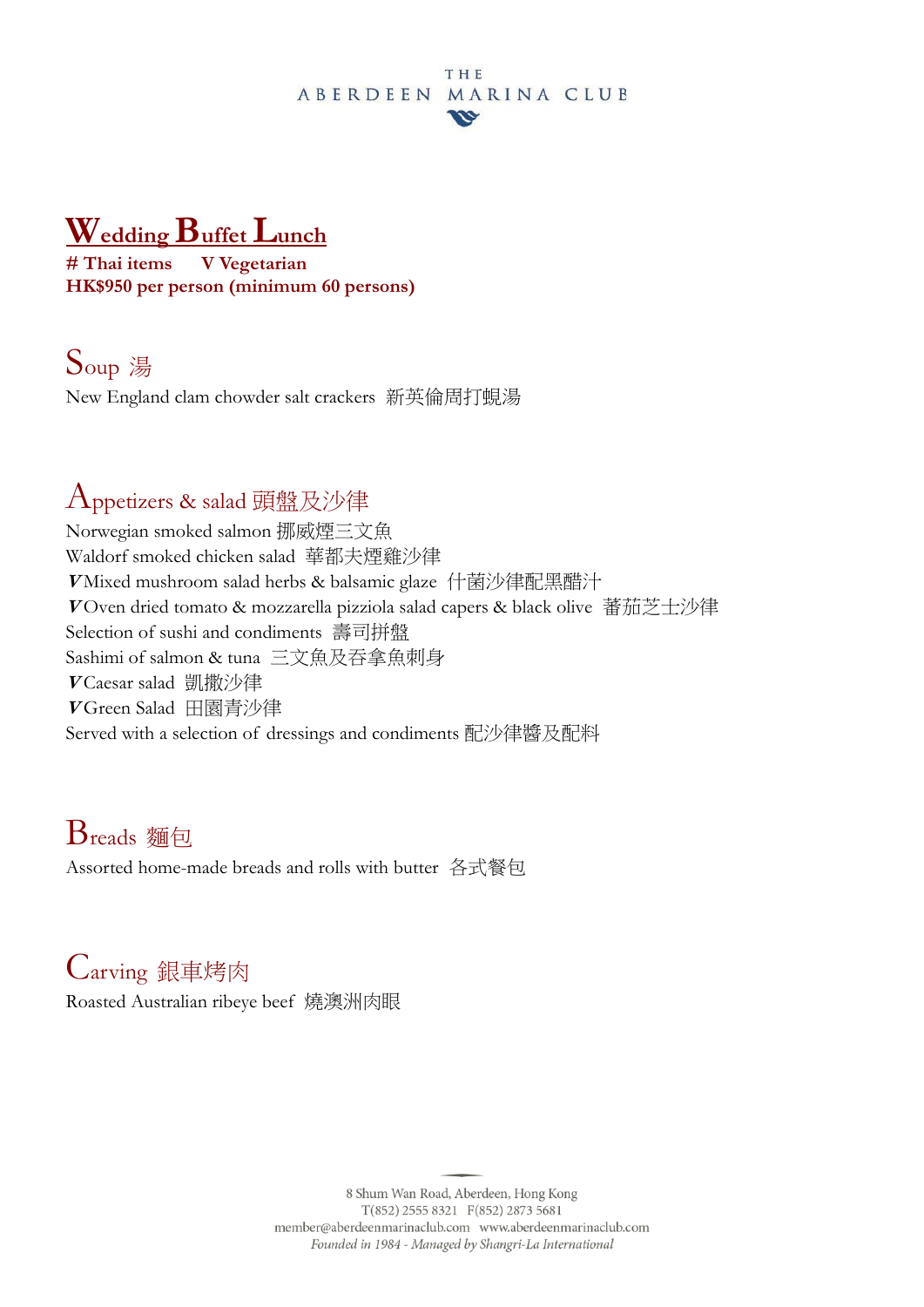#### **THE** ABERDEEN MARINA CLUB **VG**

# **Wedding Buffet Lunch**

# Thai items **HK\$950 per person (minimum 60 persons)**

## Soup <sup>湯</sup>

New England clam chowder salt crackers 新英倫周打蜆湯

#### Appetizers & salad 頭盤及沙律

Norwegian smoked salmon 挪威煙三文魚 Waldorf smoked chicken salad 華都夫煙雞沙律 **<sup>V</sup>** Mixed mushroom salad herbs & balsamic glaze 什菌沙律配黑醋汁 **<sup>V</sup>** Oven dried tomato & mozzarella pizziola salad capers & black olive 蕃茄芝士沙律 Selection of sushi and condiments 壽司拼盤 Sashimi of salmon & tuna 三文魚及吞拿魚刺身 **<sup>V</sup>** Caesar salad 凱撒沙律 **<sup>V</sup>** Green Salad 田園青沙律 Served with a selection of dressings and condiments 配沙律醬及配料

## Breads 麵包

Assorted home-made breads and rolls with butter 各式餐包

## Carving 銀車烤肉

Roasted Australian ribeye beef 燒澳洲肉眼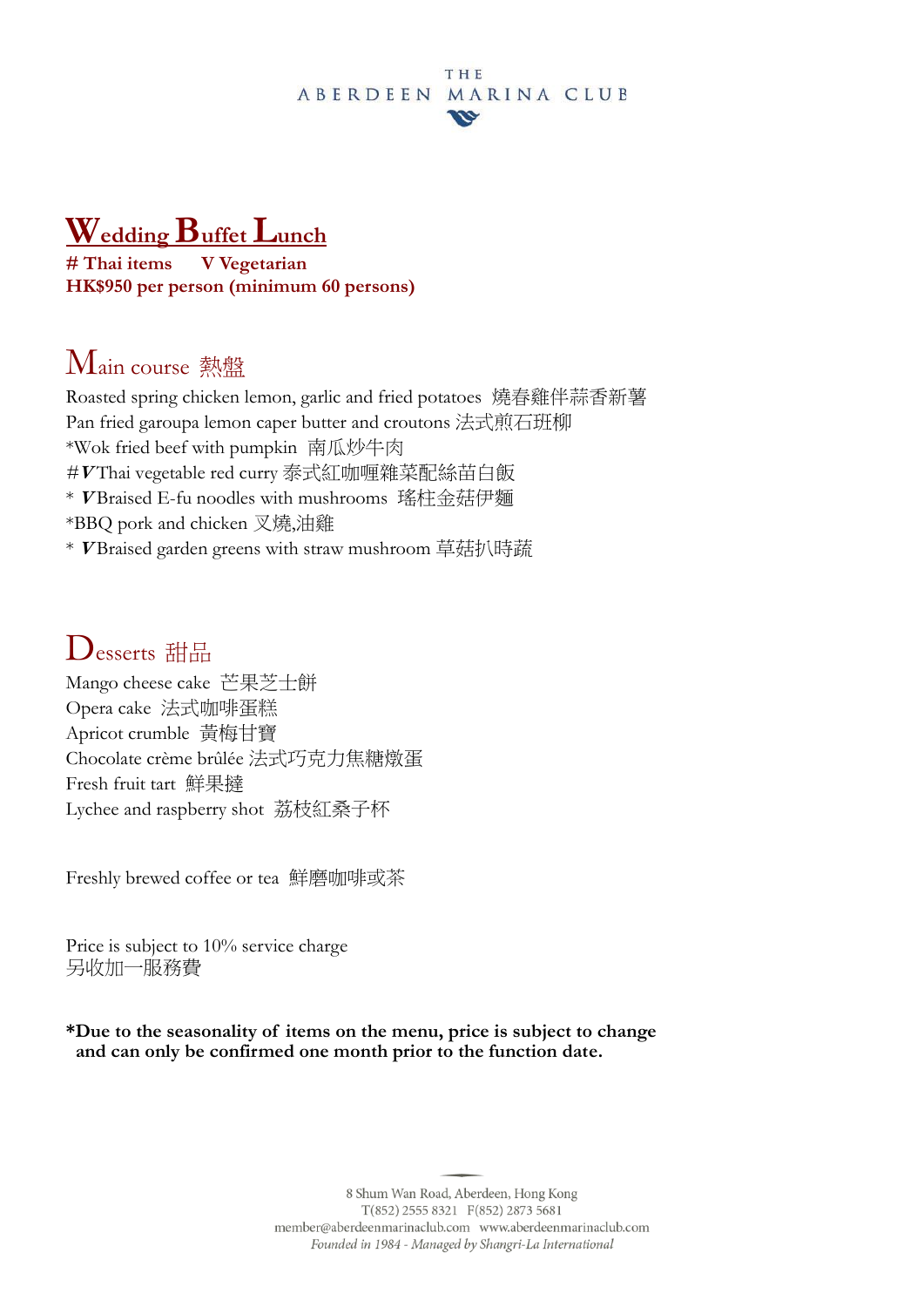#### THE ABERDEEN MARINA CLUB **VG**

# **Wedding Buffet Lunch**

**V** Vegetarian **HK\$950 per person (minimum 60 persons)**

## Main course 熱盤

Roasted spring chicken lemon, garlic and fried potatoes 燒春雞伴蒜香新薯 Pan fried garoupa lemon caper butter and croutons 法式煎石班柳 \*Wok fried beef with pumpkin 南瓜炒牛肉 *#***<sup>V</sup>** Thai vegetable red curry 泰式紅咖喱雜菜配絲苗白飯 \* **<sup>V</sup>** Braised E-fu noodles with mushrooms 瑤柱金菇伊麵 \*BBQ pork and chicken 叉燒,油雞 \* **<sup>V</sup>** Braised garden greens with straw mushroom 草菇扒時蔬

#### Desserts 甜品

Mango cheese cake 芒果芝士餅 Opera cake 法式咖啡蛋糕 Apricot crumble 黃梅甘寶 Chocolate crème brûlée 法式巧克力焦糖燉蛋 Fresh fruit tart 鮮果撻 Lychee and raspberry shot 荔枝紅桑子杯

Freshly brewed coffee or tea 鮮磨咖啡或茶

Price is subject to 10% service charge 另收加一服務費

**\*Due to the seasonality of items on the menu, price is subject to change and can only be confirmed one month prior to the function date.**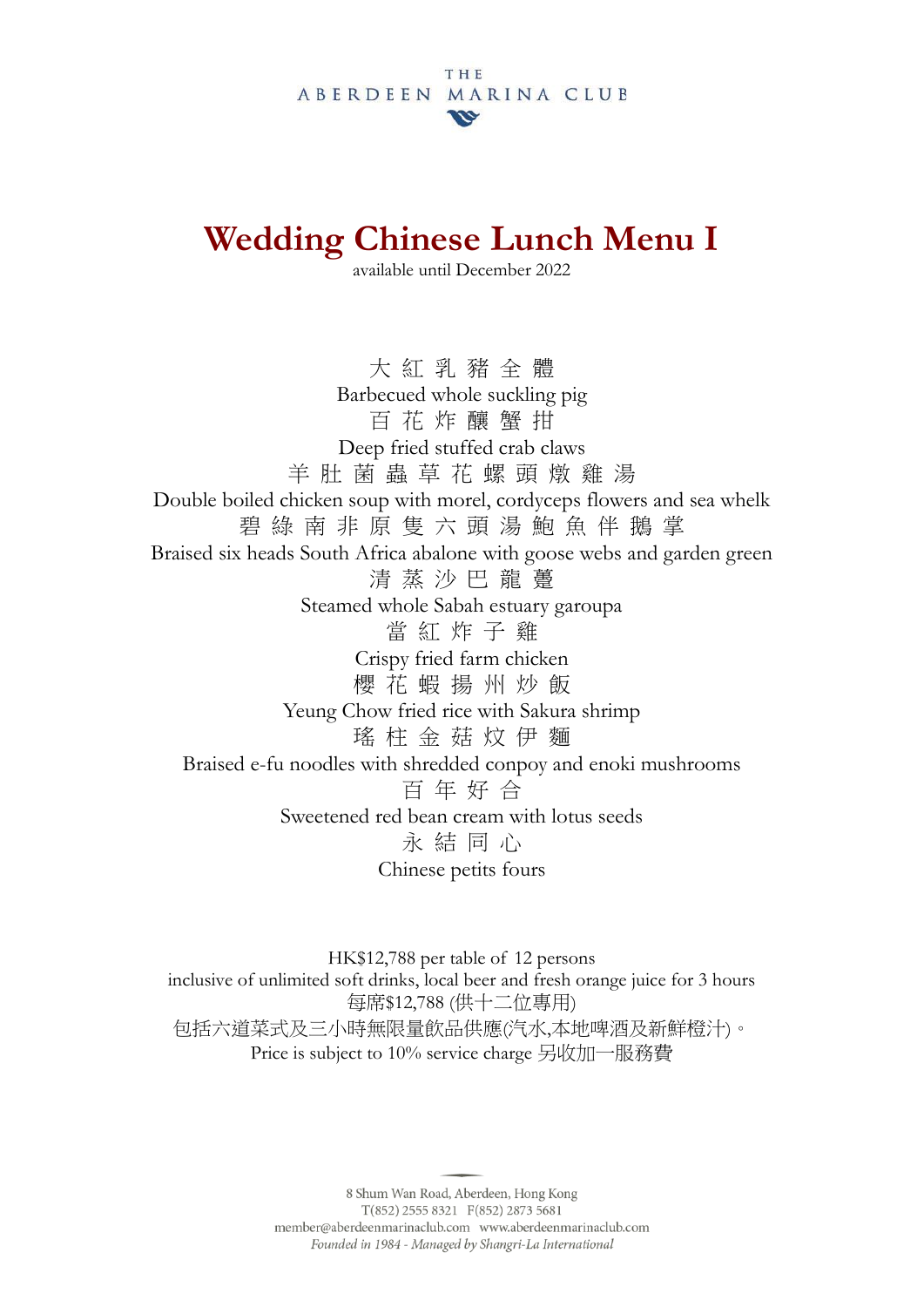# **Wedding Chinese Lunch Menu I**

available until December 2022

大 紅 乳 豬 全 體 Barbecued whole suckling pig 百 花 炸 釀 蟹 拑 Deep fried stuffed crab claws 羊 肚 菌 蟲 草 花 螺 頭 燉 雞 湯 Double boiled chicken soup with morel, cordyceps flowers and sea whelk 碧 綠 南 非 原 隻 六 頭 湯 鮑 魚 伴 鵝 掌 Braised six heads South Africa abalone with goose webs and garden green 清 蒸 沙 巴 龍 躉 Steamed whole Sabah estuary garoupa 當 紅 炸 子 雞 Crispy fried farm chicken 櫻 花 蝦 揚 州 炒 飯 Yeung Chow fried rice with Sakura shrimp 瑤 柱 金 菇 炆 伊 麵 Braised e-fu noodles with shredded conpoy and enoki mushrooms 百 年 好 合 Sweetened red bean cream with lotus seeds 永 結 同 心 Chinese petits fours

HK\$12,788 per table of 12 persons inclusive of unlimited soft drinks, local beer and fresh orange juice for 3 hours 每席\$12,788 (供十二位專用) 包括六道菜式及三小時無限量飲品供應(汽水,本地啤酒及新鮮橙汁)。 Price is subject to 10% service charge 另收加一服務費